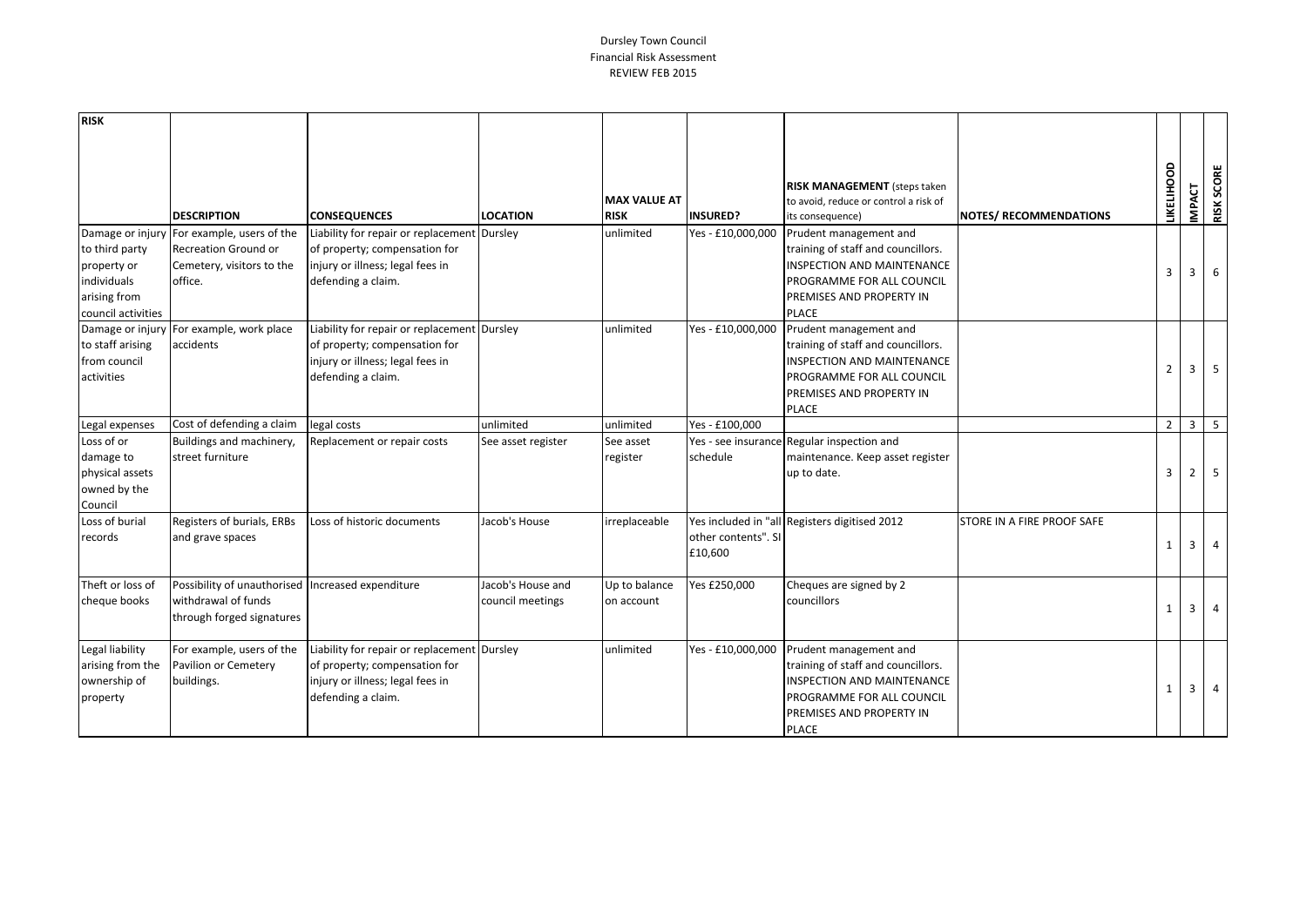## Dursley Town Council Financial Risk Assessment REVIEW FEB 2015

| <b>RISK</b>                                                                        |                                                                                                            |                                                                                                                                        |                                       |                                    |                                |                                                                                                                                                                            |                                   |                         |                |                                    |  |
|------------------------------------------------------------------------------------|------------------------------------------------------------------------------------------------------------|----------------------------------------------------------------------------------------------------------------------------------------|---------------------------------------|------------------------------------|--------------------------------|----------------------------------------------------------------------------------------------------------------------------------------------------------------------------|-----------------------------------|-------------------------|----------------|------------------------------------|--|
|                                                                                    | <b>DESCRIPTION</b>                                                                                         | <b>CONSEQUENCES</b>                                                                                                                    | <b>LOCATION</b>                       | <b>MAX VALUE AT</b><br><b>RISK</b> | <b>INSURED?</b>                | <b>RISK MANAGEMENT</b> (steps taken<br>to avoid, reduce or control a risk of<br>its consequence)                                                                           | <b>NOTES/ RECOMMENDATIONS</b>     | LIKELIHOOD              |                | <b>RISK SCORE</b><br><b>IMPACT</b> |  |
| to third party<br>property or<br>individuals<br>arising from<br>council activities | Damage or injury For example, users of the<br>Recreation Ground or<br>Cemetery, visitors to the<br>office. | Liability for repair or replacement Dursley<br>of property; compensation for<br>injury or illness; legal fees in<br>defending a claim. |                                       | unlimited                          | Yes - £10,000,000              | Prudent management and<br>training of staff and councillors.<br><b>INSPECTION AND MAINTENANCE</b><br>PROGRAMME FOR ALL COUNCIL<br>PREMISES AND PROPERTY IN<br><b>PLACE</b> |                                   | $\overline{\mathbf{3}}$ | $\overline{3}$ | 6                                  |  |
| to staff arising<br>from council<br>activities                                     | Damage or injury   For example, work place<br>accidents                                                    | Liability for repair or replacement Dursley<br>of property; compensation for<br>injury or illness; legal fees in<br>defending a claim. |                                       | unlimited                          | Yes - £10,000,000              | Prudent management and<br>training of staff and councillors.<br>INSPECTION AND MAINTENANCE<br>PROGRAMME FOR ALL COUNCIL<br>PREMISES AND PROPERTY IN<br><b>PLACE</b>        |                                   | $\overline{2}$          | $\overline{3}$ | 5                                  |  |
| Legal expenses                                                                     | Cost of defending a claim                                                                                  | legal costs                                                                                                                            | unlimited                             | unlimited                          | Yes - £100,000                 |                                                                                                                                                                            |                                   | $2^{\circ}$             | $\overline{3}$ | 5                                  |  |
| Loss of or<br>damage to<br>physical assets<br>owned by the<br>Council              | Buildings and machinery,<br>street furniture                                                               | Replacement or repair costs                                                                                                            | See asset register                    | See asset<br>register              | schedule                       | Yes - see insurance Regular inspection and<br>maintenance. Keep asset register<br>up to date.                                                                              |                                   | $\overline{3}$          | $\overline{2}$ | -5                                 |  |
| Loss of burial<br>records                                                          | Registers of burials, ERBs<br>and grave spaces                                                             | Loss of historic documents                                                                                                             | Jacob's House                         | irreplaceable                      | other contents". SI<br>£10,600 | Yes included in "all Registers digitised 2012                                                                                                                              | <b>STORE IN A FIRE PROOF SAFE</b> | $\mathbf{1}$            | $\overline{3}$ | $\overline{4}$                     |  |
| Theft or loss of<br>cheque books                                                   | Possibility of unauthorised   Increased expenditure<br>withdrawal of funds<br>through forged signatures    |                                                                                                                                        | Jacob's House and<br>council meetings | Up to balance<br>on account        | Yes £250,000                   | Cheques are signed by 2<br>councillors                                                                                                                                     |                                   | $\mathbf{1}$            | $\overline{3}$ | $\overline{4}$                     |  |
| Legal liability<br>arising from the<br>ownership of<br>property                    | For example, users of the<br>Pavilion or Cemetery<br>buildings.                                            | Liability for repair or replacement Dursley<br>of property; compensation for<br>injury or illness; legal fees in<br>defending a claim. |                                       | unlimited                          | Yes - £10,000,000              | Prudent management and<br>training of staff and councillors.<br><b>INSPECTION AND MAINTENANCE</b><br>PROGRAMME FOR ALL COUNCIL<br>PREMISES AND PROPERTY IN<br><b>PLACE</b> |                                   | 1                       | $\overline{3}$ | $\overline{4}$                     |  |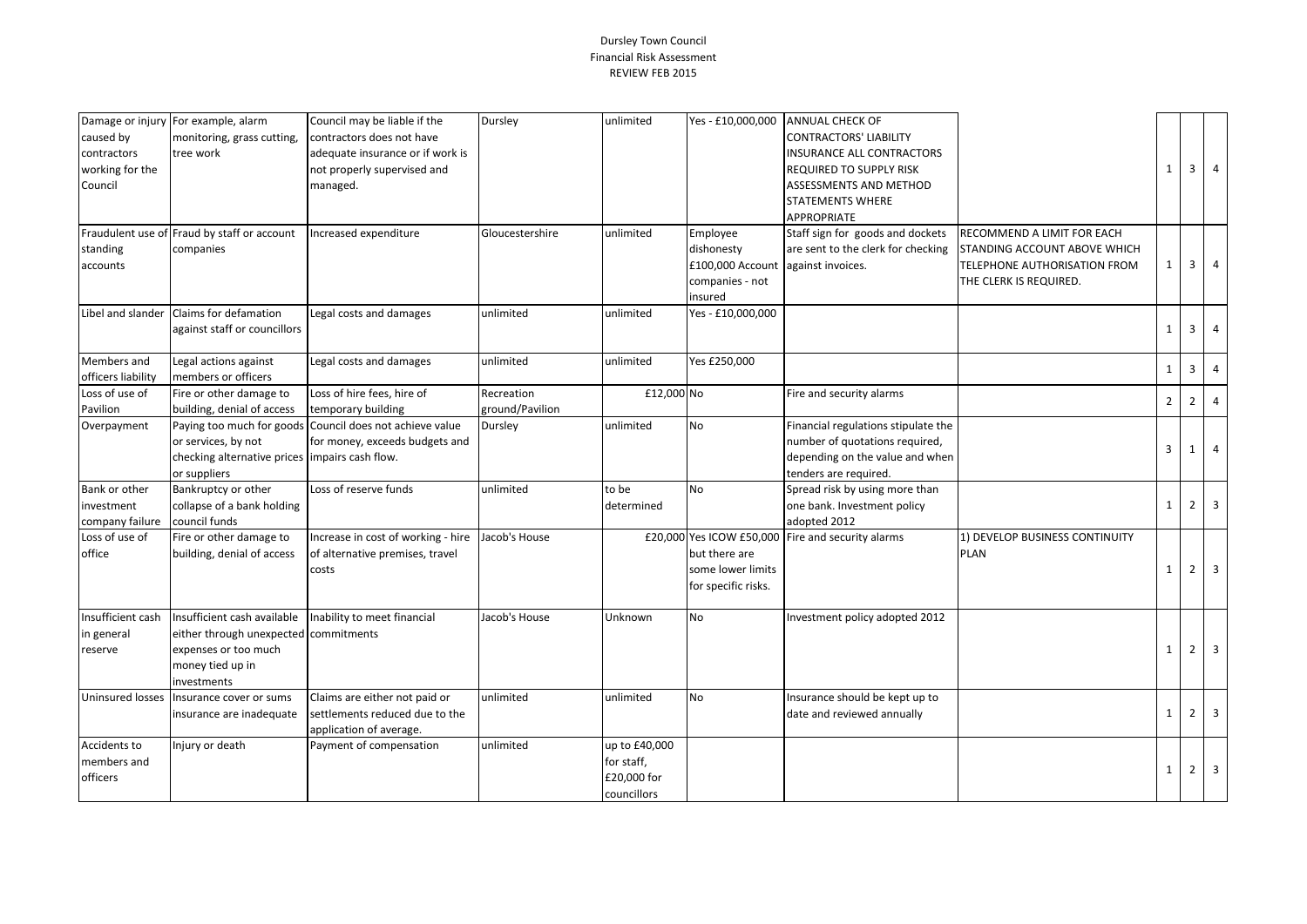## Dursley Town Council Financial Risk Assessment REVIEW FEB 2015

| caused by<br>contractors<br>working for the<br>Council | Damage or injury For example, alarm<br>monitoring, grass cutting,<br>tree work                                                  | Council may be liable if the<br>contractors does not have<br>adequate insurance or if work is<br>not properly supervised and<br>managed. | Dursley                       | unlimited                                                 | Yes - £10,000,000                                                                          | <b>ANNUAL CHECK OF</b><br><b>CONTRACTORS' LIABILITY</b><br><b>INSURANCE ALL CONTRACTORS</b><br><b>REQUIRED TO SUPPLY RISK</b><br>ASSESSMENTS AND METHOD<br><b>STATEMENTS WHERE</b><br><b>APPROPRIATE</b> |                                                                                                                      | 1              | 3              | $\overline{4}$          |
|--------------------------------------------------------|---------------------------------------------------------------------------------------------------------------------------------|------------------------------------------------------------------------------------------------------------------------------------------|-------------------------------|-----------------------------------------------------------|--------------------------------------------------------------------------------------------|----------------------------------------------------------------------------------------------------------------------------------------------------------------------------------------------------------|----------------------------------------------------------------------------------------------------------------------|----------------|----------------|-------------------------|
| standing<br>accounts                                   | Fraudulent use of Fraud by staff or account<br>companies                                                                        | Increased expenditure                                                                                                                    | Gloucestershire               | unlimited                                                 | Employee<br>dishonesty<br>£100,000 Account against invoices.<br>companies - not<br>insured | Staff sign for goods and dockets<br>are sent to the clerk for checking                                                                                                                                   | RECOMMEND A LIMIT FOR EACH<br>STANDING ACCOUNT ABOVE WHICH<br>TELEPHONE AUTHORISATION FROM<br>THE CLERK IS REQUIRED. | $\mathbf{1}$   | $\overline{3}$ | $\overline{4}$          |
| Libel and slander                                      | Claims for defamation<br>against staff or councillors                                                                           | Legal costs and damages                                                                                                                  | unlimited                     | unlimited                                                 | Yes - £10,000,000                                                                          |                                                                                                                                                                                                          |                                                                                                                      | 1              | $\overline{3}$ | $\overline{4}$          |
| Members and<br>officers liability                      | Legal actions against<br>members or officers                                                                                    | Legal costs and damages                                                                                                                  | unlimited                     | unlimited                                                 | Yes £250,000                                                                               |                                                                                                                                                                                                          |                                                                                                                      | $\mathbf{1}$   | $\overline{3}$ | $\overline{4}$          |
| Loss of use of<br>Pavilion                             | Fire or other damage to<br>building, denial of access                                                                           | Loss of hire fees, hire of<br>temporary building                                                                                         | Recreation<br>ground/Pavilion | £12,000 No                                                |                                                                                            | Fire and security alarms                                                                                                                                                                                 |                                                                                                                      | $\overline{2}$ | $\overline{2}$ | $\overline{4}$          |
| Overpayment                                            | or services, by not<br>checking alternative prices impairs cash flow.<br>or suppliers                                           | Paying too much for goods Council does not achieve value<br>for money, exceeds budgets and                                               | Dursley                       | unlimited                                                 | No                                                                                         | Financial regulations stipulate the<br>number of quotations required,<br>depending on the value and when<br>tenders are required.                                                                        |                                                                                                                      | 3              | 1              | $\overline{4}$          |
| Bank or other<br>investment<br>company failure         | Bankruptcy or other<br>collapse of a bank holding<br>council funds                                                              | Loss of reserve funds                                                                                                                    | unlimited                     | to be<br>determined                                       | <b>No</b>                                                                                  | Spread risk by using more than<br>one bank. Investment policy<br>adopted 2012                                                                                                                            |                                                                                                                      | 1              | $\overline{2}$ | $\overline{3}$          |
| Loss of use of<br>office                               | Fire or other damage to<br>building, denial of access                                                                           | Increase in cost of working - hire<br>of alternative premises, travel<br>costs                                                           | Jacob's House                 |                                                           | £20,000 Yes ICOW £50,000<br>but there are<br>some lower limits<br>for specific risks.      | Fire and security alarms                                                                                                                                                                                 | 1) DEVELOP BUSINESS CONTINUITY<br><b>PLAN</b>                                                                        | 1              | $\overline{2}$ | $\overline{3}$          |
| Insufficient cash<br>in general<br>reserve             | Insufficient cash available<br>either through unexpected commitments<br>expenses or too much<br>money tied up in<br>investments | Inability to meet financial                                                                                                              | Jacob's House                 | Unknown                                                   | No                                                                                         | Investment policy adopted 2012                                                                                                                                                                           |                                                                                                                      | $\mathbf{1}$   | $\overline{2}$ | $\overline{3}$          |
| Uninsured losses                                       | Insurance cover or sums<br>insurance are inadequate                                                                             | Claims are either not paid or<br>settlements reduced due to the<br>application of average.                                               | unlimited                     | unlimited                                                 | No                                                                                         | Insurance should be kept up to<br>date and reviewed annually                                                                                                                                             |                                                                                                                      | $\mathbf{1}$   | $\overline{2}$ | $\overline{3}$          |
| Accidents to<br>members and<br>officers                | Injury or death                                                                                                                 | Payment of compensation                                                                                                                  | unlimited                     | up to £40,000<br>for staff,<br>£20,000 for<br>councillors |                                                                                            |                                                                                                                                                                                                          |                                                                                                                      | 1              | $\overline{2}$ | $\overline{\mathbf{3}}$ |